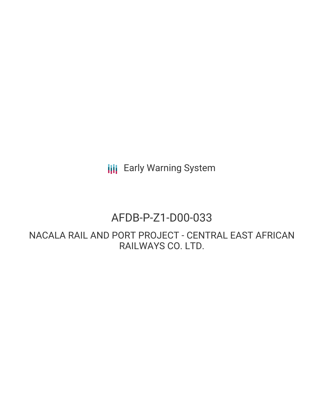**III** Early Warning System

## AFDB-P-Z1-D00-033

NACALA RAIL AND PORT PROJECT - CENTRAL EAST AFRICAN RAILWAYS CO. LTD.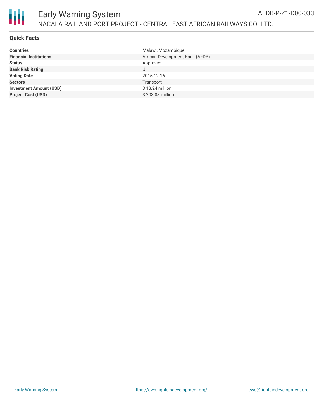

| <b>Countries</b>               | Malawi, Mozambique              |
|--------------------------------|---------------------------------|
| <b>Financial Institutions</b>  | African Development Bank (AFDB) |
| <b>Status</b>                  | Approved                        |
| <b>Bank Risk Rating</b>        |                                 |
| <b>Voting Date</b>             | 2015-12-16                      |
| <b>Sectors</b>                 | Transport                       |
| <b>Investment Amount (USD)</b> | $$13.24$ million                |
| <b>Project Cost (USD)</b>      | \$203.08 million                |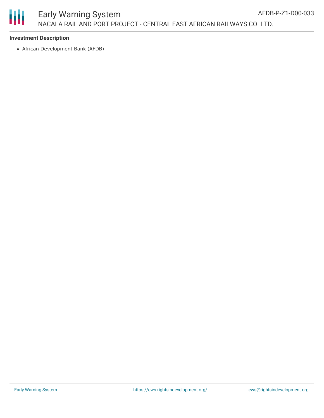

African Development Bank (AFDB)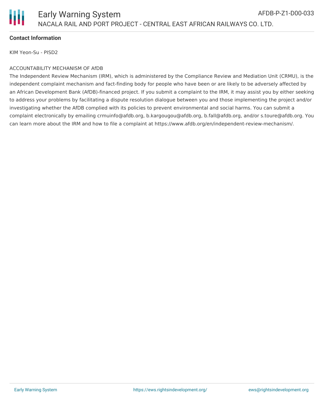

KIM Yeon-Su - PISD2

## ACCOUNTABILITY MECHANISM OF AfDB

The Independent Review Mechanism (IRM), which is administered by the Compliance Review and Mediation Unit (CRMU), is the independent complaint mechanism and fact-finding body for people who have been or are likely to be adversely affected by an African Development Bank (AfDB)-financed project. If you submit a complaint to the IRM, it may assist you by either seeking to address your problems by facilitating a dispute resolution dialogue between you and those implementing the project and/or investigating whether the AfDB complied with its policies to prevent environmental and social harms. You can submit a complaint electronically by emailing crmuinfo@afdb.org, b.kargougou@afdb.org, b.fall@afdb.org, and/or s.toure@afdb.org. You can learn more about the IRM and how to file a complaint at https://www.afdb.org/en/independent-review-mechanism/.